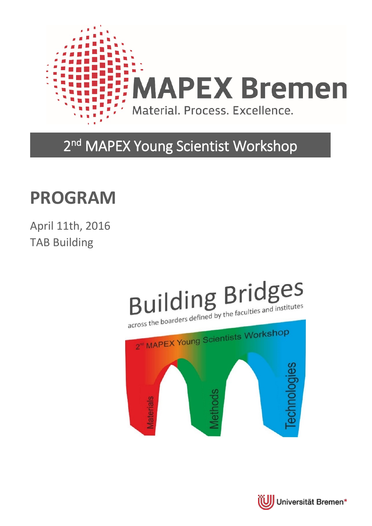

### 2<sup>nd</sup> MAPEX Young Scientist Workshop

## **PROGRAM**

April 11th, 2016 TAB Building

## **Building Bridges** across the boarders defined by the faculties and institutes



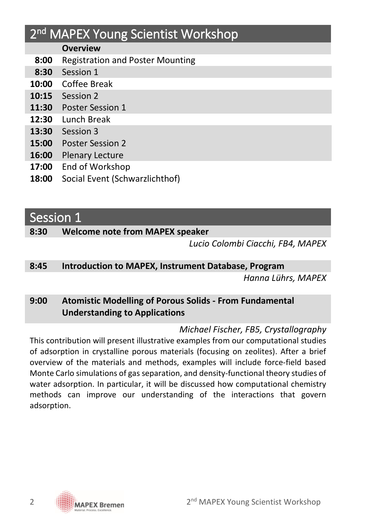### 2<sup>nd</sup> MAPEX Young Scientist Workshop

#### **Overview**

- **8:00** Registration and Poster Mounting
- **8:30** Session 1
- **10:00** Coffee Break
- **10:15** Session 2
- **11:30** Poster Session 1
- **12:30** Lunch Break
- **13:30** Session 3
- **15:00** Poster Session 2
- **16:00** Plenary Lecture
- **17:00** End of Workshop
- **18:00** Social Event (Schwarzlichthof)

#### Session 1

#### **8:30 Welcome note from MAPEX speaker**

*Lucio Colombi Ciacchi, FB4, MAPEX*

#### **8:45 Introduction to MAPEX, Instrument Database, Program**

*Hanna Lührs, MAPEX*

#### **9:00 Atomistic Modelling of Porous Solids - From Fundamental Understanding to Applications**

#### *Michael Fischer, FB5, Crystallography*

This contribution will present illustrative examples from our computational studies of adsorption in crystalline porous materials (focusing on zeolites). After a brief overview of the materials and methods, examples will include force-field based Monte Carlo simulations of gas separation, and density-functional theory studies of water adsorption. In particular, it will be discussed how computational chemistry methods can improve our understanding of the interactions that govern adsorption.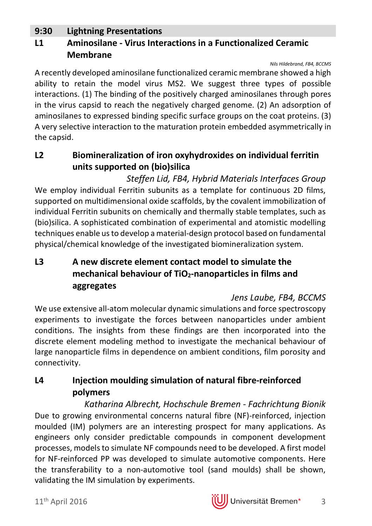#### **9:30 Lightning Presentations**

#### **L1 Aminosilane - Virus Interactions in a Functionalized Ceramic Membrane**

#### *Nils Hildebrand, FB4, BCCMS*

A recently developed aminosilane functionalized ceramic membrane showed a high ability to retain the model virus MS2. We suggest three types of possible interactions. (1) The binding of the positively charged aminosilanes through pores in the virus capsid to reach the negatively charged genome. (2) An adsorption of aminosilanes to expressed binding specific surface groups on the coat proteins. (3) A very selective interaction to the maturation protein embedded asymmetrically in the capsid.

#### **L2 Biomineralization of iron oxyhydroxides on individual ferritin units supported on (bio)silica**

*Steffen Lid, FB4, Hybrid Materials Interfaces Group* We employ individual Ferritin subunits as a template for continuous 2D films. supported on multidimensional oxide scaffolds, by the covalent immobilization of individual Ferritin subunits on chemically and thermally stable templates, such as (bio)silica. A sophisticated combination of experimental and atomistic modelling techniques enable us to develop a material-design protocol based on fundamental physical/chemical knowledge of the investigated biomineralization system.

#### **L3 A new discrete element contact model to simulate the**  mechanical behaviour of TiO<sub>2</sub>-nanoparticles in films and **aggregates**

#### *Jens Laube, FB4, BCCMS*

We use extensive all-atom molecular dynamic simulations and force spectroscopy experiments to investigate the forces between nanoparticles under ambient conditions. The insights from these findings are then incorporated into the discrete element modeling method to investigate the mechanical behaviour of large nanoparticle films in dependence on ambient conditions, film porosity and connectivity.

#### **L4 Injection moulding simulation of natural fibre-reinforced polymers**

*Katharina Albrecht, Hochschule Bremen - Fachrichtung Bionik* Due to growing environmental concerns natural fibre (NF)-reinforced, injection moulded (IM) polymers are an interesting prospect for many applications. As engineers only consider predictable compounds in component development processes, models to simulate NF compounds need to be developed. A first model for NF-reinforced PP was developed to simulate automotive components. Here the transferability to a non-automotive tool (sand moulds) shall be shown, validating the IM simulation by experiments.

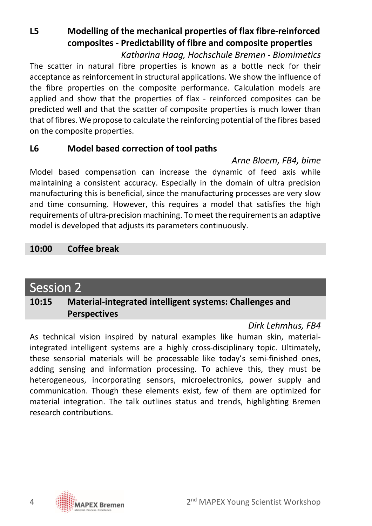**L5 Modelling of the mechanical properties of flax fibre-reinforced composites - Predictability of fibre and composite properties**

*Katharina Haag, Hochschule Bremen - Biomimetics* The scatter in natural fibre properties is known as a bottle neck for their acceptance as reinforcement in structural applications. We show the influence of the fibre properties on the composite performance. Calculation models are applied and show that the properties of flax - reinforced composites can be predicted well and that the scatter of composite properties is much lower than that of fibres. We propose to calculate the reinforcing potential of the fibres based on the composite properties.

#### **L6 Model based correction of tool paths**

*Arne Bloem, FB4, bime*

Model based compensation can increase the dynamic of feed axis while maintaining a consistent accuracy. Especially in the domain of ultra precision manufacturing this is beneficial, since the manufacturing processes are very slow and time consuming. However, this requires a model that satisfies the high requirements of ultra-precision machining. To meet the requirements an adaptive model is developed that adjusts its parameters continuously.

#### **10:00 Coffee break**

### Session 2

#### **10:15 Material-integrated intelligent systems: Challenges and Perspectives**

#### *Dirk Lehmhus, FB4*

As technical vision inspired by natural examples like human skin, materialintegrated intelligent systems are a highly cross-disciplinary topic. Ultimately, these sensorial materials will be processable like today's semi-finished ones, adding sensing and information processing. To achieve this, they must be heterogeneous, incorporating sensors, microelectronics, power supply and communication. Though these elements exist, few of them are optimized for material integration. The talk outlines status and trends, highlighting Bremen research contributions.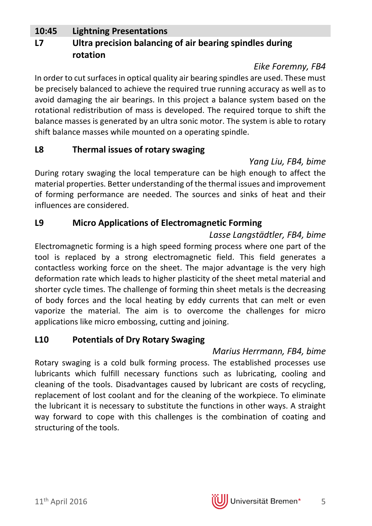#### **10:45 Lightning Presentations**

#### **L7 Ultra precision balancing of air bearing spindles during rotation**

#### *Eike Foremny, FB4*

In order to cut surfaces in optical quality air bearing spindles are used. These must be precisely balanced to achieve the required true running accuracy as well as to avoid damaging the air bearings. In this project a balance system based on the rotational redistribution of mass is developed. The required torque to shift the balance masses is generated by an ultra sonic motor. The system is able to rotary shift balance masses while mounted on a operating spindle.

#### **L8 Thermal issues of rotary swaging**

*Yang Liu, FB4, bime*

During rotary swaging the local temperature can be high enough to affect the material properties. Better understanding of the thermal issues and improvement of forming performance are needed. The sources and sinks of heat and their influences are considered.

#### **L9 Micro Applications of Electromagnetic Forming**

*Lasse Langstädtler, FB4, bime* Electromagnetic forming is a high speed forming process where one part of the tool is replaced by a strong electromagnetic field. This field generates a contactless working force on the sheet. The major advantage is the very high deformation rate which leads to higher plasticity of the sheet metal material and shorter cycle times. The challenge of forming thin sheet metals is the decreasing of body forces and the local heating by eddy currents that can melt or even vaporize the material. The aim is to overcome the challenges for micro applications like micro embossing, cutting and joining.

#### **L10 Potentials of Dry Rotary Swaging**

#### *Marius Herrmann, FB4, bime*

Rotary swaging is a cold bulk forming process. The established processes use lubricants which fulfill necessary functions such as lubricating, cooling and cleaning of the tools. Disadvantages caused by lubricant are costs of recycling, replacement of lost coolant and for the cleaning of the workpiece. To eliminate the lubricant it is necessary to substitute the functions in other ways. A straight way forward to cope with this challenges is the combination of coating and structuring of the tools.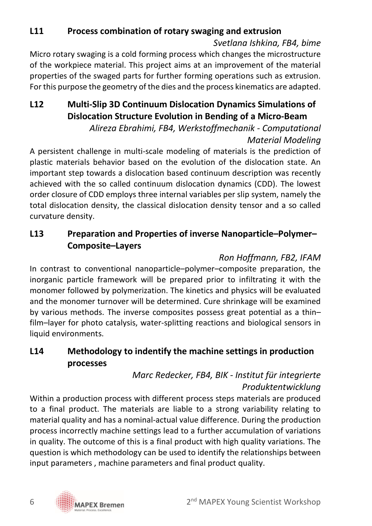### **L11 Process combination of rotary swaging and extrusion**

*Svetlana Ishkina, FB4, bime*

Micro rotary swaging is a cold forming process which changes the microstructure of the workpiece material. This project aims at an improvement of the material properties of the swaged parts for further forming operations such as extrusion. For this purpose the geometry of the dies and the process kinematics are adapted.

#### **L12 Multi-Slip 3D Continuum Dislocation Dynamics Simulations of Dislocation Structure Evolution in Bending of a Micro-Beam**

*Alireza Ebrahimi, FB4, Werkstoffmechanik - Computational Material Modeling*

A persistent challenge in multi-scale modeling of materials is the prediction of plastic materials behavior based on the evolution of the dislocation state. An important step towards a dislocation based continuum description was recently achieved with the so called continuum dislocation dynamics (CDD). The lowest order closure of CDD employs three internal variables per slip system, namely the total dislocation density, the classical dislocation density tensor and a so called curvature density.

#### **L13 Preparation and Properties of inverse Nanoparticle–Polymer– Composite–Layers**

#### *Ron Hoffmann, FB2, IFAM*

In contrast to conventional nanoparticle–polymer–composite preparation, the inorganic particle framework will be prepared prior to infiltrating it with the monomer followed by polymerization. The kinetics and physics will be evaluated and the monomer turnover will be determined. Cure shrinkage will be examined by various methods. The inverse composites possess great potential as a thin– film–layer for photo catalysis, water-splitting reactions and biological sensors in liquid environments.

#### **L14 Methodology to indentify the machine settings in production processes**

#### *Marc Redecker, FB4, BIK - Institut für integrierte Produktentwicklung*

Within a production process with different process steps materials are produced to a final product. The materials are liable to a strong variability relating to material quality and has a nominal-actual value difference. During the production process incorrectly machine settings lead to a further accumulation of variations in quality. The outcome of this is a final product with high quality variations. The question is which methodology can be used to identify the relationships between input parameters , machine parameters and final product quality.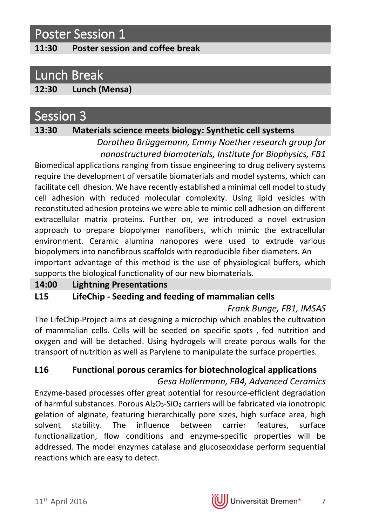### Poster Session 1

#### **11:30 Poster session and coffee break**

### Lunch Break

#### **12:30 Lunch (Mensa)**

#### Session 3

#### **13:30 Materials science meets biology: Synthetic cell systems**

*Dorothea Brüggemann, Emmy Noether research group for nanostructured biomaterials, Institute for Biophysics, FB1*

Biomedical applications ranging from tissue engineering to drug delivery systems require the development of versatile biomaterials and model systems, which can facilitate cell dhesion. We have recently established a minimal cell model to study cell adhesion with reduced molecular complexity. Using lipid vesicles with reconstituted adhesion proteins we were able to mimic cell adhesion on different extracellular matrix proteins. Further on, we introduced a novel extrusion approach to prepare biopolymer nanofibers, which mimic the extracellular environment. Ceramic alumina nanopores were used to extrude various biopolymers into nanofibrous scaffolds with reproducible fiber diameters. An important advantage of this method is the use of physiological buffers, which supports the biological functionality of our new biomaterials.

#### **14:00 Lightning Presentations**

#### **L15 LifeChip - Seeding and feeding of mammalian cells**

*Frank Bunge, FB1, IMSAS*

The LifeChip-Project aims at designing a microchip which enables the cultivation of mammalian cells. Cells will be seeded on specific spots , fed nutrition and oxygen and will be detached. Using hydrogels will create porous walls for the transport of nutrition as well as Parylene to manipulate the surface properties.

#### **L16 Functional porous ceramics for biotechnological applications**

*Gesa Hollermann, FB4, Advanced Ceramics* Enzyme-based processes offer great potential for resource-efficient degradation of harmful substances. Porous Al2O3-SiO2 carriers will be fabricated via ionotropic gelation of alginate, featuring hierarchically pore sizes, high surface area, high solvent stability. The influence between carrier features, surface functionalization, flow conditions and enzyme-specific properties will be addressed. The model enzymes catalase and glucoseoxidase perform sequential reactions which are easy to detect.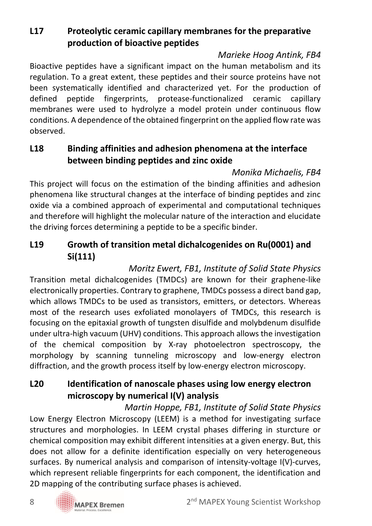#### **L17 Proteolytic ceramic capillary membranes for the preparative production of bioactive peptides**

#### *Marieke Hoog Antink, FB4*

Bioactive peptides have a significant impact on the human metabolism and its regulation. To a great extent, these peptides and their source proteins have not been systematically identified and characterized yet. For the production of defined peptide fingerprints, protease-functionalized ceramic capillary membranes were used to hydrolyze a model protein under continuous flow conditions. A dependence of the obtained fingerprint on the applied flow rate was observed.

#### **L18 Binding affinities and adhesion phenomena at the interface between binding peptides and zinc oxide**

#### *Monika Michaelis, FB4*

This project will focus on the estimation of the binding affinities and adhesion phenomena like structural changes at the interface of binding peptides and zinc oxide via a combined approach of experimental and computational techniques and therefore will highlight the molecular nature of the interaction and elucidate the driving forces determining a peptide to be a specific binder.

#### **L19 Growth of transition metal dichalcogenides on Ru(0001) and Si(111)**

*Moritz Ewert, FB1, Institute of Solid State Physics* Transition metal dichalcogenides (TMDCs) are known for their graphene-like electronically properties. Contrary to graphene, TMDCs possess a direct band gap, which allows TMDCs to be used as transistors, emitters, or detectors. Whereas most of the research uses exfoliated monolayers of TMDCs, this research is focusing on the epitaxial growth of tungsten disulfide and molybdenum disulfide under ultra-high vacuum (UHV) conditions. This approach allows the investigation of the chemical composition by X-ray photoelectron spectroscopy, the morphology by scanning tunneling microscopy and low-energy electron diffraction, and the growth process itself by low-energy electron microscopy.

#### **L20 Identification of nanoscale phases using low energy electron microscopy by numerical I(V) analysis**

*Martin Hoppe, FB1, Institute of Solid State Physics* Low Energy Electron Microscopy (LEEM) is a method for investigating surface structures and morphologies. In LEEM crystal phases differing in sturcture or chemical composition may exhibit different intensities at a given energy. But, this does not allow for a definite identification especially on very heterogeneous surfaces. By numerical analysis and comparison of intensity-voltage I(V)-curves, which represent reliable fingerprints for each component, the identification and 2D mapping of the contributing surface phases is achieved.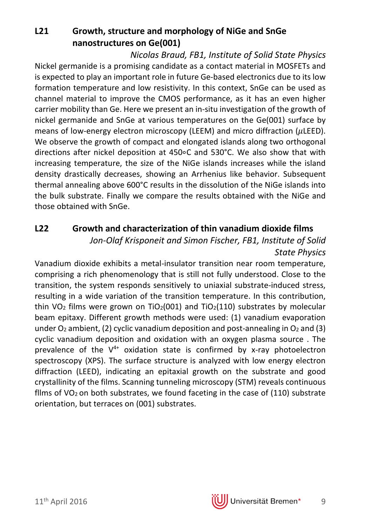**L21 Growth, structure and morphology of NiGe and SnGe nanostructures on Ge(001)**

*Nicolas Braud, FB1, Institute of Solid State Physics* Nickel germanide is a promising candidate as a contact material in MOSFETs and is expected to play an important role in future Ge-based electronics due to its low formation temperature and low resistivity. In this context, SnGe can be used as channel material to improve the CMOS performance, as it has an even higher carrier mobility than Ge. Here we present an in-situ investigation of the growth of nickel germanide and SnGe at various temperatures on the Ge(001) surface by means of low-energy electron microscopy (LEEM) and micro diffraction ( $\mu$ LEED). We observe the growth of compact and elongated islands along two orthogonal directions after nickel deposition at 450∘C and 530°C. We also show that with increasing temperature, the size of the NiGe islands increases while the island density drastically decreases, showing an Arrhenius like behavior. Subsequent thermal annealing above 600°C results in the dissolution of the NiGe islands into the bulk substrate. Finally we compare the results obtained with the NiGe and those obtained with SnGe.

#### **L22 Growth and characterization of thin vanadium dioxide films**

*Jon-Olaf Krisponeit and Simon Fischer, FB1, Institute of Solid State Physics*

Vanadium dioxide exhibits a metal-insulator transition near room temperature, comprising a rich phenomenology that is still not fully understood. Close to the transition, the system responds sensitively to uniaxial substrate-induced stress, resulting in a wide variation of the transition temperature. In this contribution, thin VO<sub>2</sub> films were grown on TiO<sub>2</sub>(001) and TiO<sub>2</sub>(110) substrates by molecular beam epitaxy. Different growth methods were used: (1) vanadium evaporation under  $O_2$  ambient, (2) cyclic vanadium deposition and post-annealing in  $O_2$  and (3) cyclic vanadium deposition and oxidation with an oxygen plasma source . The prevalence of the  $V^{4+}$  oxidation state is confirmed by x-ray photoelectron spectroscopy (XPS). The surface structure is analyzed with low energy electron diffraction (LEED), indicating an epitaxial growth on the substrate and good crystallinity of the films. Scanning tunneling microscopy (STM) reveals continuous films of VO<sub>2</sub> on both substrates, we found faceting in the case of  $(110)$  substrate orientation, but terraces on (001) substrates.

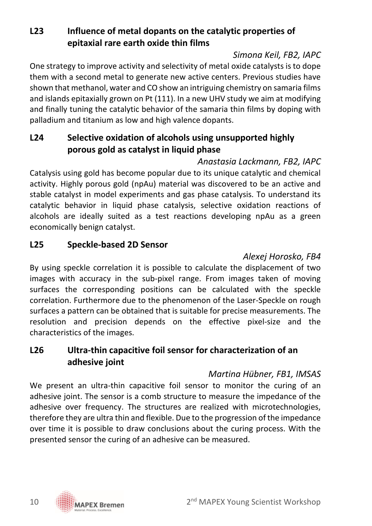#### **L23 Influence of metal dopants on the catalytic properties of epitaxial rare earth oxide thin films**

#### *Simona Keil, FB2, IAPC*

One strategy to improve activity and selectivity of metal oxide catalysts is to dope them with a second metal to generate new active centers. Previous studies have shown that methanol, water and CO show an intriguing chemistry on samaria films and islands epitaxially grown on Pt (111). In a new UHV study we aim at modifying and finally tuning the catalytic behavior of the samaria thin films by doping with palladium and titanium as low and high valence dopants.

#### **L24 Selective oxidation of alcohols using unsupported highly porous gold as catalyst in liquid phase**

#### *Anastasia Lackmann, FB2, IAPC*

Catalysis using gold has become popular due to its unique catalytic and chemical activity. Highly porous gold (npAu) material was discovered to be an active and stable catalyst in model experiments and gas phase catalysis. To understand its catalytic behavior in liquid phase catalysis, selective oxidation reactions of alcohols are ideally suited as a test reactions developing npAu as a green economically benign catalyst.

#### **L25 Speckle-based 2D Sensor**

#### *Alexej Horosko, FB4*

By using speckle correlation it is possible to calculate the displacement of two images with accuracy in the sub-pixel range. From images taken of moving surfaces the corresponding positions can be calculated with the speckle correlation. Furthermore due to the phenomenon of the Laser-Speckle on rough surfaces a pattern can be obtained that is suitable for precise measurements. The resolution and precision depends on the effective pixel-size and the characteristics of the images.

#### **L26 Ultra-thin capacitive foil sensor for characterization of an adhesive joint**

#### *Martina Hübner, FB1, IMSAS*

We present an ultra-thin capacitive foil sensor to monitor the curing of an adhesive joint. The sensor is a comb structure to measure the impedance of the adhesive over frequency. The structures are realized with microtechnologies, therefore they are ultra thin and flexible. Due to the progression of the impedance over time it is possible to draw conclusions about the curing process. With the presented sensor the curing of an adhesive can be measured.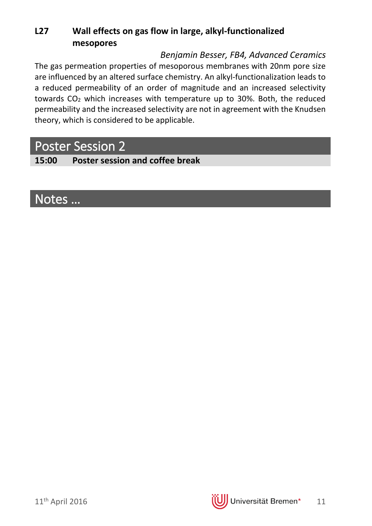#### **L27 Wall effects on gas flow in large, alkyl-functionalized mesopores**

#### *Benjamin Besser, FB4, Advanced Ceramics*

The gas permeation properties of mesoporous membranes with 20nm pore size are influenced by an altered surface chemistry. An alkyl-functionalization leads to a reduced permeability of an order of magnitude and an increased selectivity towards CO2 which increases with temperature up to 30%. Both, the reduced permeability and the increased selectivity are not in agreement with the Knudsen theory, which is considered to be applicable.

### Poster Session 2

**15:00 Poster session and coffee break**

### Notes …

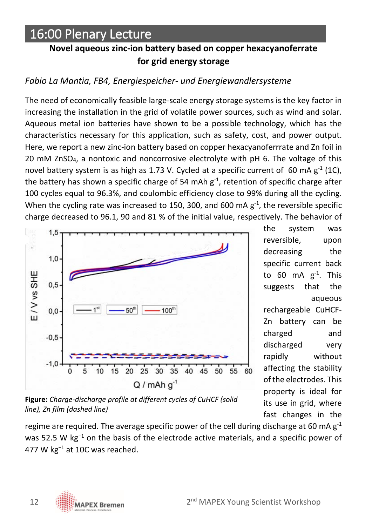### 16:00 Plenary Lecture

#### **Novel aqueous zinc-ion battery based on copper hexacyanoferrate for grid energy storage**

#### *Fabio La Mantia, FB4, Energiespeicher- und Energiewandlersysteme*

The need of economically feasible large-scale energy storage systems is the key factor in increasing the installation in the grid of volatile power sources, such as wind and solar. Aqueous metal ion batteries have shown to be a possible technology, which has the characteristics necessary for this application, such as safety, cost, and power output. Here, we report a new zinc-ion battery based on copper hexacyanoferrrate and Zn foil in 20 mM ZnSO4, a nontoxic and noncorrosive electrolyte with pH 6. The voltage of this novel battery system is as high as 1.73 V. Cycled at a specific current of 60 mA  $g^{-1}$  (1C), the battery has shown a specific charge of 54 mAh  $g<sup>-1</sup>$ , retention of specific charge after 100 cycles equal to 96.3%, and coulombic efficiency close to 99% during all the cycling. When the cycling rate was increased to 150, 300, and 600 mA  $g^{-1}$ , the reversible specific charge decreased to 96.1, 90 and 81 % of the initial value, respectively. The behavior of



the system was reversible, upon decreasing the specific current back to 60 mA  $g^{-1}$ . This suggests that the aqueous rechargeable CuHCF-Zn battery can be charged and discharged very rapidly without affecting the stability of the electrodes. This property is ideal for its use in grid, where fast changes in the

**Figure:** *Charge-discharge profile at different cycles of CuHCF (solid line), Zn film (dashed line)*

regime are required. The average specific power of the cell during discharge at 60 mA  $g^{-1}$ was 52.5 W kg<sup>-1</sup> on the basis of the electrode active materials, and a specific power of 477 W kg<sup>−</sup><sup>1</sup> at 10C was reached.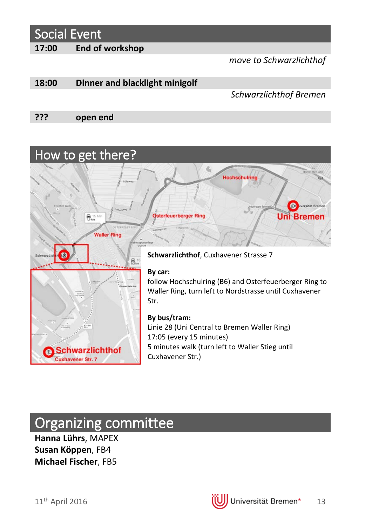### Social Event

**17:00 End of workshop**

*move to Schwarzlichthof*

#### **18:00 Dinner and blacklight minigolf**

#### *Schwarzlichthof Bremen*

**??? open end**



### Organizing committee

**Hanna Lührs**, MAPEX **Susan Köppen**, FB4 **Michael Fischer**, FB5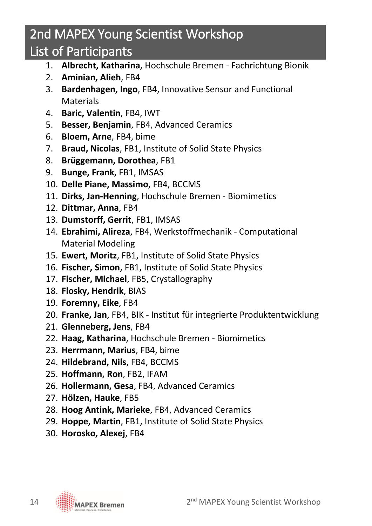### 2nd MAPEX Young Scientist Workshop

### List of Participants

- 1. **Albrecht, Katharina**, Hochschule Bremen Fachrichtung Bionik
- 2. **Aminian, Alieh**, FB4
- 3. **Bardenhagen, Ingo**, FB4, Innovative Sensor and Functional **Materials**
- 4. **Baric, Valentin**, FB4, IWT
- 5. **Besser, Benjamin**, FB4, Advanced Ceramics
- 6. **Bloem, Arne**, FB4, bime
- 7. **Braud, Nicolas**, FB1, Institute of Solid State Physics
- 8. **Brüggemann, Dorothea**, FB1
- 9. **Bunge, Frank**, FB1, IMSAS
- 10. **Delle Piane, Massimo**, FB4, BCCMS
- 11. **Dirks, Jan-Henning**, Hochschule Bremen Biomimetics
- 12. **Dittmar, Anna**, FB4
- 13. **Dumstorff, Gerrit**, FB1, IMSAS
- 14. **Ebrahimi, Alireza**, FB4, Werkstoffmechanik Computational Material Modeling
- 15. **Ewert, Moritz**, FB1, Institute of Solid State Physics
- 16. **Fischer, Simon**, FB1, Institute of Solid State Physics
- 17. **Fischer, Michael**, FB5, Crystallography
- 18. **Flosky, Hendrik**, BIAS
- 19. **Foremny, Eike**, FB4
- 20. **Franke, Jan**, FB4, BIK Institut für integrierte Produktentwicklung
- 21. **Glenneberg, Jens**, FB4
- 22. **Haag, Katharina**, Hochschule Bremen Biomimetics
- 23. **Herrmann, Marius**, FB4, bime
- 24. **Hildebrand, Nils**, FB4, BCCMS
- 25. **Hoffmann, Ron**, FB2, IFAM
- 26. **Hollermann, Gesa**, FB4, Advanced Ceramics
- 27. **Hölzen, Hauke**, FB5
- 28. **Hoog Antink, Marieke**, FB4, Advanced Ceramics
- 29. **Hoppe, Martin**, FB1, Institute of Solid State Physics
- 30. **Horosko, Alexej**, FB4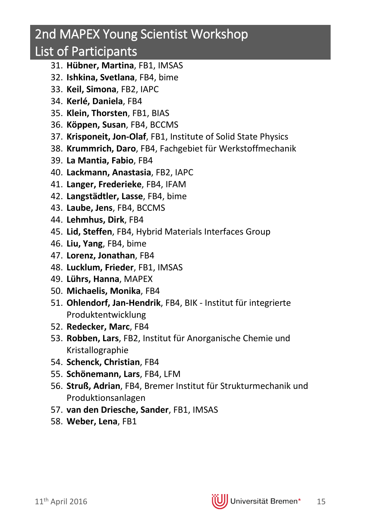### 2nd MAPEX Young Scientist Workshop

### List of Participants

- 31. **Hübner, Martina**, FB1, IMSAS
- 32. **Ishkina, Svetlana**, FB4, bime
- 33. **Keil, Simona**, FB2, IAPC
- 34. **Kerlé, Daniela**, FB4
- 35. **Klein, Thorsten**, FB1, BIAS
- 36. **Köppen, Susan**, FB4, BCCMS
- 37. **Krisponeit, Jon-Olaf**, FB1, Institute of Solid State Physics
- 38. **Krummrich, Daro**, FB4, Fachgebiet für Werkstoffmechanik
- 39. **La Mantia, Fabio**, FB4
- 40. **Lackmann, Anastasia**, FB2, IAPC
- 41. **Langer, Frederieke**, FB4, IFAM
- 42. **Langstädtler, Lasse**, FB4, bime
- 43. **Laube, Jens**, FB4, BCCMS
- 44. **Lehmhus, Dirk**, FB4
- 45. **Lid, Steffen**, FB4, Hybrid Materials Interfaces Group
- 46. **Liu, Yang**, FB4, bime
- 47. **Lorenz, Jonathan**, FB4
- 48. **Lucklum, Frieder**, FB1, IMSAS
- 49. **Lührs, Hanna**, MAPEX
- 50. **Michaelis, Monika**, FB4
- 51. **Ohlendorf, Jan-Hendrik**, FB4, BIK Institut für integrierte Produktentwicklung
- 52. **Redecker, Marc**, FB4
- 53. **Robben, Lars**, FB2, Institut für Anorganische Chemie und Kristallographie
- 54. **Schenck, Christian**, FB4
- 55. **Schönemann, Lars**, FB4, LFM
- 56. **Struß, Adrian**, FB4, Bremer Institut für Strukturmechanik und Produktionsanlagen
- 57. **van den Driesche, Sander**, FB1, IMSAS
- 58. **Weber, Lena**, FB1